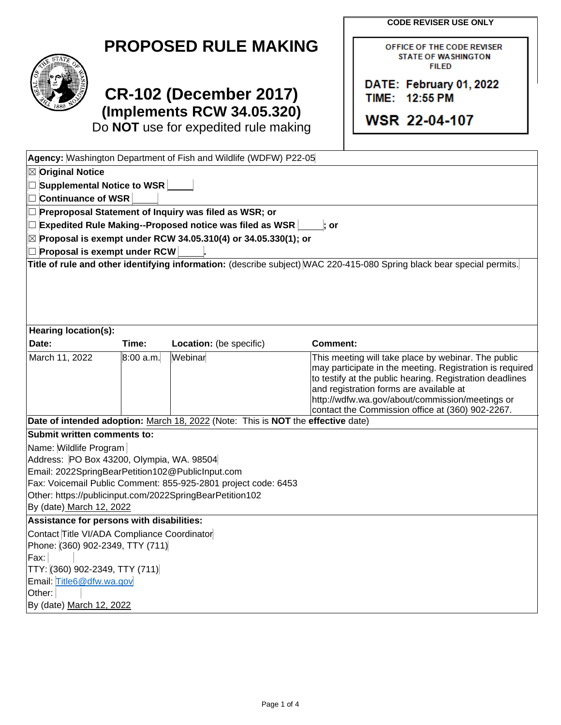**CODE REVISER USE ONLY**

OFFICE OF THE CODE REVISER **STATE OF WASHINGTON FILED** 

DATE: February 01, 2022

TIME: 12:55 PM

**WSR 22-04-107** 



## **CR-102 (December 2017) (Implements RCW 34.05.320)**

Do **NOT** use for expedited rule making

|                                                                |           | Agency: Washington Department of Fish and Wildlife (WDFW) P22-05                 |                                                                                                                        |
|----------------------------------------------------------------|-----------|----------------------------------------------------------------------------------|------------------------------------------------------------------------------------------------------------------------|
| $\boxtimes$ Original Notice                                    |           |                                                                                  |                                                                                                                        |
| $\Box$ Supplemental Notice to WSR                              |           |                                                                                  |                                                                                                                        |
| □ Continuance of WSR                                           |           |                                                                                  |                                                                                                                        |
|                                                                |           | $\Box$ Preproposal Statement of Inquiry was filed as WSR; or                     |                                                                                                                        |
|                                                                |           | $\Box$ Expedited Rule Making--Proposed notice was filed as WSR                   | or                                                                                                                     |
|                                                                |           | $\boxtimes$ Proposal is exempt under RCW 34.05.310(4) or 34.05.330(1); or        |                                                                                                                        |
| $\Box$ Proposal is exempt under RCW                            |           |                                                                                  |                                                                                                                        |
|                                                                |           |                                                                                  | Title of rule and other identifying information: (describe subject) WAC 220-415-080 Spring black bear special permits. |
|                                                                |           |                                                                                  |                                                                                                                        |
|                                                                |           |                                                                                  |                                                                                                                        |
|                                                                |           |                                                                                  |                                                                                                                        |
|                                                                |           |                                                                                  |                                                                                                                        |
| Hearing location(s):<br>Date:                                  | Time:     | Location: (be specific)                                                          | Comment:                                                                                                               |
| March 11, 2022                                                 | 8:00 a.m. | Webinar                                                                          | This meeting will take place by webinar. The public                                                                    |
|                                                                |           |                                                                                  | may participate in the meeting. Registration is required                                                               |
|                                                                |           |                                                                                  | to testify at the public hearing. Registration deadlines                                                               |
|                                                                |           |                                                                                  | and registration forms are available at                                                                                |
|                                                                |           |                                                                                  | http://wdfw.wa.gov/about/commission/meetings or<br>contact the Commission office at (360) 902-2267.                    |
|                                                                |           | Date of intended adoption: March 18, 2022 (Note: This is NOT the effective date) |                                                                                                                        |
| Submit written comments to:                                    |           |                                                                                  |                                                                                                                        |
| Name: Wildlife Program                                         |           |                                                                                  |                                                                                                                        |
| Address: PO Box 43200, Olympia, WA. 98504                      |           |                                                                                  |                                                                                                                        |
| Email: 2022SpringBearPetition102@PublicInput.com               |           |                                                                                  |                                                                                                                        |
| Fax: Voicemail Public Comment: 855-925-2801 project code: 6453 |           |                                                                                  |                                                                                                                        |
|                                                                |           | Other: https://publicinput.com/2022SpringBearPetition102                         |                                                                                                                        |
| By (date) March 12, 2022                                       |           |                                                                                  |                                                                                                                        |
| Assistance for persons with disabilities:                      |           |                                                                                  |                                                                                                                        |
| Contact Title VI/ADA Compliance Coordinator                    |           |                                                                                  |                                                                                                                        |
| Phone: (360) 902-2349, TTY (711)<br>Fax:                       |           |                                                                                  |                                                                                                                        |
| TTY: (360) 902-2349, TTY (711)                                 |           |                                                                                  |                                                                                                                        |
| Email: Title6@dfw.wa.gov                                       |           |                                                                                  |                                                                                                                        |
| Other:                                                         |           |                                                                                  |                                                                                                                        |
| By (date) March 12, 2022                                       |           |                                                                                  |                                                                                                                        |
|                                                                |           |                                                                                  |                                                                                                                        |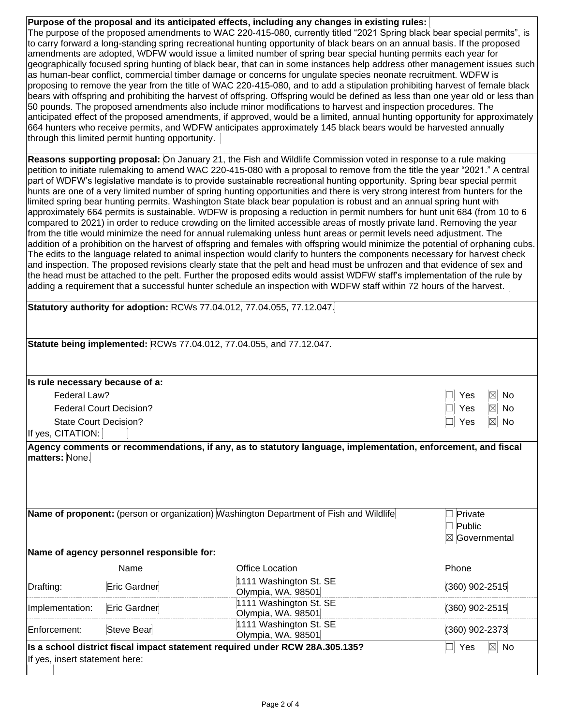**Purpose of the proposal and its anticipated effects, including any changes in existing rules:**  The purpose of the proposed amendments to WAC 220-415-080, currently titled "2021 Spring black bear special permits", is to carry forward a long-standing spring recreational hunting opportunity of black bears on an annual basis. If the proposed amendments are adopted, WDFW would issue a limited number of spring bear special hunting permits each year for geographically focused spring hunting of black bear, that can in some instances help address other management issues such as human-bear conflict, commercial timber damage or concerns for ungulate species neonate recruitment. WDFW is proposing to remove the year from the title of WAC 220-415-080, and to add a stipulation prohibiting harvest of female black bears with offspring and prohibiting the harvest of offspring. Offspring would be defined as less than one year old or less than 50 pounds. The proposed amendments also include minor modifications to harvest and inspection procedures. The anticipated effect of the proposed amendments, if approved, would be a limited, annual hunting opportunity for approximately 664 hunters who receive permits, and WDFW anticipates approximately 145 black bears would be harvested annually through this limited permit hunting opportunity.  $\mid$ 

**Reasons supporting proposal:** On January 21, the Fish and Wildlife Commission voted in response to a rule making petition to initiate rulemaking to amend WAC 220-415-080 with a proposal to remove from the title the year "2021." A central part of WDFW's legislative mandate is to provide sustainable recreational hunting opportunity. Spring bear special permit hunts are one of a very limited number of spring hunting opportunities and there is very strong interest from hunters for the limited spring bear hunting permits. Washington State black bear population is robust and an annual spring hunt with approximately 664 permits is sustainable. WDFW is proposing a reduction in permit numbers for hunt unit 684 (from 10 to 6 compared to 2021) in order to reduce crowding on the limited accessible areas of mostly private land. Removing the year from the title would minimize the need for annual rulemaking unless hunt areas or permit levels need adjustment. The addition of a prohibition on the harvest of offspring and females with offspring would minimize the potential of orphaning cubs. The edits to the language related to animal inspection would clarify to hunters the components necessary for harvest check and inspection. The proposed revisions clearly state that the pelt and head must be unfrozen and that evidence of sex and the head must be attached to the pelt. Further the proposed edits would assist WDFW staff's implementation of the rule by adding a requirement that a successful hunter schedule an inspection with WDFW staff within 72 hours of the harvest.

|                                                   |                                           | Statutory authority for adoption: RCWs 77.04.012, 77.04.055, 77.12.047.                |                                                   |
|---------------------------------------------------|-------------------------------------------|----------------------------------------------------------------------------------------|---------------------------------------------------|
|                                                   |                                           | Statute being implemented: RCWs 77.04.012, 77.04.055, and 77.12.047.                   |                                                   |
| Is rule necessary because of a:                   |                                           |                                                                                        |                                                   |
| Federal Law?                                      |                                           |                                                                                        | $\boxtimes$ No<br>Yes                             |
|                                                   | <b>Federal Court Decision?</b>            |                                                                                        | $\boxtimes$ No<br>Yes                             |
| <b>State Court Decision?</b><br>If yes, CITATION: |                                           |                                                                                        | $\boxtimes$<br>No<br>Yes                          |
|                                                   |                                           | Name of proponent: (person or organization) Washington Department of Fish and Wildlife | $\Box$ Private<br>$\Box$ Public<br>⊠ Governmental |
|                                                   | Name of agency personnel responsible for: |                                                                                        |                                                   |
|                                                   | Name                                      | <b>Office Location</b>                                                                 | Phone                                             |
|                                                   |                                           | 1111 Washington St. SE                                                                 |                                                   |
|                                                   | Eric Gardner                              | Olympia, WA. 98501                                                                     | (360) 902-2515                                    |
|                                                   | Eric Gardner                              | 1111 Washington St. SE<br>Olympia, WA. 98501                                           | (360) 902-2515                                    |
| Drafting:<br>Implementation:<br>Enforcement:      | <b>Steve Bear</b>                         | 1111 Washington St. SE<br>Olympia, WA. 98501                                           | (360) 902-2373                                    |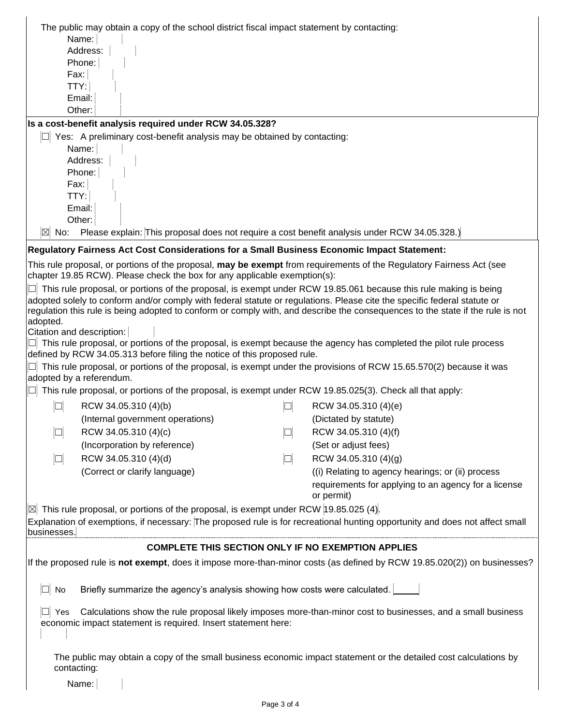|                                                                                                                                                                                     | The public may obtain a copy of the school district fiscal impact statement by contacting:                                                                                                        |                                                                                                                                |  |
|-------------------------------------------------------------------------------------------------------------------------------------------------------------------------------------|---------------------------------------------------------------------------------------------------------------------------------------------------------------------------------------------------|--------------------------------------------------------------------------------------------------------------------------------|--|
|                                                                                                                                                                                     | Name:                                                                                                                                                                                             |                                                                                                                                |  |
|                                                                                                                                                                                     | Address:                                                                                                                                                                                          |                                                                                                                                |  |
|                                                                                                                                                                                     | Phone:                                                                                                                                                                                            |                                                                                                                                |  |
|                                                                                                                                                                                     | Fax:                                                                                                                                                                                              |                                                                                                                                |  |
|                                                                                                                                                                                     | TTY:<br>Email:                                                                                                                                                                                    |                                                                                                                                |  |
|                                                                                                                                                                                     | Other:                                                                                                                                                                                            |                                                                                                                                |  |
|                                                                                                                                                                                     | Is a cost-benefit analysis required under RCW 34.05.328?                                                                                                                                          |                                                                                                                                |  |
|                                                                                                                                                                                     | Yes: A preliminary cost-benefit analysis may be obtained by contacting:                                                                                                                           |                                                                                                                                |  |
|                                                                                                                                                                                     | Name:                                                                                                                                                                                             |                                                                                                                                |  |
|                                                                                                                                                                                     | Address:                                                                                                                                                                                          |                                                                                                                                |  |
|                                                                                                                                                                                     | Phone:                                                                                                                                                                                            |                                                                                                                                |  |
|                                                                                                                                                                                     | Fax:<br>TTY:                                                                                                                                                                                      |                                                                                                                                |  |
|                                                                                                                                                                                     | Email:                                                                                                                                                                                            |                                                                                                                                |  |
|                                                                                                                                                                                     | Other:                                                                                                                                                                                            |                                                                                                                                |  |
| $\boxtimes$<br>No:                                                                                                                                                                  | Please explain: This proposal does not require a cost benefit analysis under RCW 34.05.328.)                                                                                                      |                                                                                                                                |  |
|                                                                                                                                                                                     | Regulatory Fairness Act Cost Considerations for a Small Business Economic Impact Statement:                                                                                                       |                                                                                                                                |  |
|                                                                                                                                                                                     | This rule proposal, or portions of the proposal, may be exempt from requirements of the Regulatory Fairness Act (see<br>chapter 19.85 RCW). Please check the box for any applicable exemption(s): |                                                                                                                                |  |
|                                                                                                                                                                                     | This rule proposal, or portions of the proposal, is exempt under RCW 19.85.061 because this rule making is being                                                                                  |                                                                                                                                |  |
|                                                                                                                                                                                     | adopted solely to conform and/or comply with federal statute or regulations. Please cite the specific federal statute or                                                                          |                                                                                                                                |  |
|                                                                                                                                                                                     |                                                                                                                                                                                                   | regulation this rule is being adopted to conform or comply with, and describe the consequences to the state if the rule is not |  |
| adopted.                                                                                                                                                                            | Citation and description:                                                                                                                                                                         |                                                                                                                                |  |
|                                                                                                                                                                                     | This rule proposal, or portions of the proposal, is exempt because the agency has completed the pilot rule process                                                                                |                                                                                                                                |  |
|                                                                                                                                                                                     | defined by RCW 34.05.313 before filing the notice of this proposed rule.                                                                                                                          |                                                                                                                                |  |
|                                                                                                                                                                                     | This rule proposal, or portions of the proposal, is exempt under the provisions of RCW 15.65.570(2) because it was<br>adopted by a referendum.                                                    |                                                                                                                                |  |
|                                                                                                                                                                                     | This rule proposal, or portions of the proposal, is exempt under RCW 19.85.025(3). Check all that apply:                                                                                          |                                                                                                                                |  |
|                                                                                                                                                                                     | RCW 34.05.310 (4)(b)                                                                                                                                                                              | RCW 34.05.310 (4)(e)                                                                                                           |  |
|                                                                                                                                                                                     | (Internal government operations)                                                                                                                                                                  | (Dictated by statute)                                                                                                          |  |
| $\Box$                                                                                                                                                                              | RCW 34.05.310 (4)(c)<br>$\Box$                                                                                                                                                                    | RCW 34.05.310 (4)(f)                                                                                                           |  |
|                                                                                                                                                                                     | (Incorporation by reference)                                                                                                                                                                      | (Set or adjust fees)                                                                                                           |  |
| $\Box$                                                                                                                                                                              | RCW 34.05.310 (4)(d)<br>$\Box$                                                                                                                                                                    | RCW 34.05.310 (4)(g)                                                                                                           |  |
|                                                                                                                                                                                     | (Correct or clarify language)                                                                                                                                                                     | (i) Relating to agency hearings; or (ii) process                                                                               |  |
|                                                                                                                                                                                     |                                                                                                                                                                                                   | requirements for applying to an agency for a license                                                                           |  |
|                                                                                                                                                                                     |                                                                                                                                                                                                   | or permit)                                                                                                                     |  |
| $\boxtimes$                                                                                                                                                                         | This rule proposal, or portions of the proposal, is exempt under RCW 19.85.025 (4).                                                                                                               |                                                                                                                                |  |
| businesses.                                                                                                                                                                         |                                                                                                                                                                                                   | Explanation of exemptions, if necessary: The proposed rule is for recreational hunting opportunity and does not affect small   |  |
| <b>COMPLETE THIS SECTION ONLY IF NO EXEMPTION APPLIES</b>                                                                                                                           |                                                                                                                                                                                                   |                                                                                                                                |  |
|                                                                                                                                                                                     | If the proposed rule is not exempt, does it impose more-than-minor costs (as defined by RCW 19.85.020(2)) on businesses?                                                                          |                                                                                                                                |  |
| No                                                                                                                                                                                  | Briefly summarize the agency's analysis showing how costs were calculated.                                                                                                                        |                                                                                                                                |  |
| Calculations show the rule proposal likely imposes more-than-minor cost to businesses, and a small business<br>Yes<br>economic impact statement is required. Insert statement here: |                                                                                                                                                                                                   |                                                                                                                                |  |
| The public may obtain a copy of the small business economic impact statement or the detailed cost calculations by<br>contacting:                                                    |                                                                                                                                                                                                   |                                                                                                                                |  |
|                                                                                                                                                                                     | Name:                                                                                                                                                                                             |                                                                                                                                |  |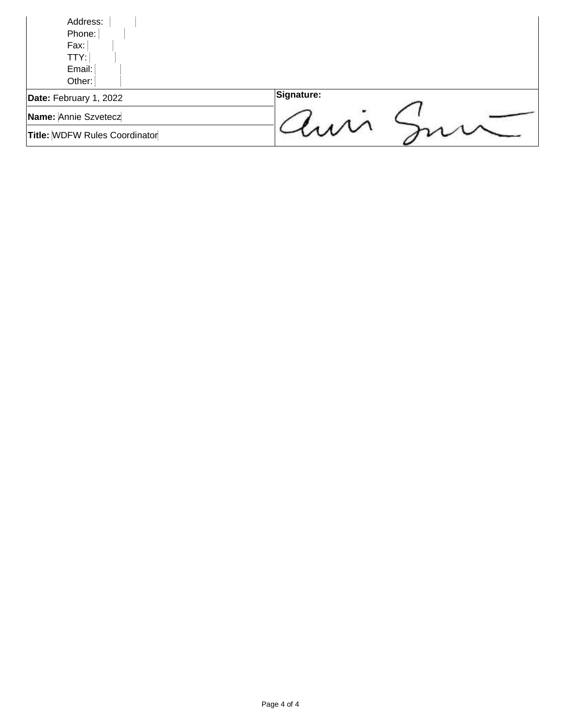| Address:<br>Phone:            |            |
|-------------------------------|------------|
| Fax:                          |            |
| TTY:<br>Email:                |            |
| Other:                        |            |
| Date: February 1, 2022        | Signature: |
| Name: Annie Szvetecz          |            |
| Title: WDFW Rules Coordinator |            |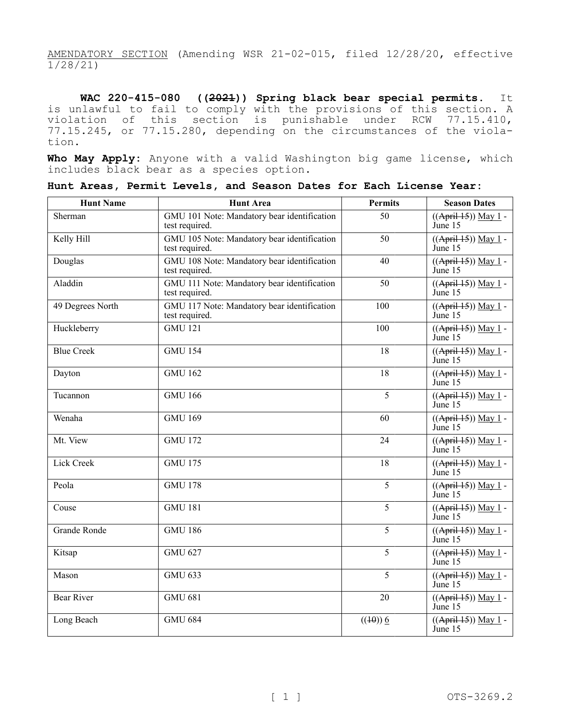AMENDATORY SECTION (Amending WSR 21-02-015, filed 12/28/20, effective 1/28/21)

**WAC 220-415-080 ((2021)) Spring black bear special permits.** It is unlawful to fail to comply with the provisions of this section. A violation of this section is punishable under RCW 77.15.410, 77.15.245, or 77.15.280, depending on the circumstances of the violation.

**Who May Apply:** Anyone with a valid Washington big game license, which includes black bear as a species option.

| <b>Hunt Name</b>  | <b>Hunt Area</b>                                              | <b>Permits</b>         | <b>Season Dates</b>                   |
|-------------------|---------------------------------------------------------------|------------------------|---------------------------------------|
| Sherman           | GMU 101 Note: Mandatory bear identification<br>test required. | 50                     | ((April 15)) May 1 -<br>June 15       |
| Kelly Hill        | GMU 105 Note: Mandatory bear identification<br>test required. | 50                     | $((April 15))$ May 1 -<br>June 15     |
| Douglas           | GMU 108 Note: Mandatory bear identification<br>test required. | 40                     | $((Apri+15))$ May 1 -<br>June 15      |
| Aladdin           | GMU 111 Note: Mandatory bear identification<br>test required. | 50                     | ((April 15)) May 1 -<br>June 15       |
| 49 Degrees North  | GMU 117 Note: Mandatory bear identification<br>test required. | 100                    | ((April 15)) May 1 -<br>June 15       |
| Huckleberry       | <b>GMU 121</b>                                                | 100                    | $((Apri+15))$ May 1 -<br>June 15      |
| <b>Blue Creek</b> | <b>GMU 154</b>                                                | 18                     | $((April 15))$ May 1 -<br>June 15     |
| Dayton            | <b>GMU 162</b>                                                | 18                     | ((April 15)) May 1 -<br>June 15       |
| Tucannon          | <b>GMU 166</b>                                                | 5                      | ((April 15)) May 1 -<br>June 15       |
| Wenaha            | <b>GMU 169</b>                                                | 60                     | $((April 15))$ May 1 -<br>June 15     |
| Mt. View          | <b>GMU 172</b>                                                | 24                     | $((April 15))$ May 1 -<br>June 15     |
| Lick Creek        | <b>GMU 175</b>                                                | 18                     | $((Apri+15))$ May 1 -<br>June 15      |
| Peola             | <b>GMU 178</b>                                                | 5                      | $((April 15))$ May 1 -<br>June 15     |
| Couse             | <b>GMU 181</b>                                                | 5                      | ((April 15)) May 1 -<br>June 15       |
| Grande Ronde      | <b>GMU 186</b>                                                | 5                      | ((April 15)) May 1 -<br>$\lim_{1}$ 15 |
| Kitsap            | <b>GMU 627</b>                                                | 5                      | $((Apri1.15))$ May 1 -<br>June 15     |
| Mason             | <b>GMU 633</b>                                                | 5                      | $((Apri+15))$ May 1 -<br>June 15      |
| <b>Bear River</b> | <b>GMU 681</b>                                                | 20                     | $((April 15))$ May 1 -<br>June 15     |
| Long Beach        | <b>GMU 684</b>                                                | $((\text{+}\theta))$ 6 | $((Apri1.15))$ May 1 -<br>June 15     |

**Hunt Areas, Permit Levels, and Season Dates for Each License Year:**